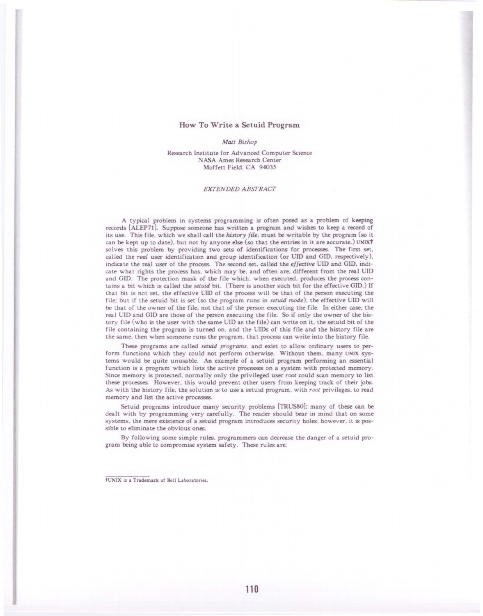## How To Write a Setuid Program

## *Matt Bishop*

Research Institute for Advanced Computer Science NASA Ames Research Center Moffett Field. CA 94035

## *EXTENDED ABSFRACI'*

A typical problem in systems programming is often posed as a problem of keeping records [ALEP71). Suppose someone has written a program and wishes to keep a record of its use. This file. which we shall call the *history file*, must be writable by the program (so it can be kept up to date), but not by anyone else (so that the entries in it are accurate.) UNIXT solves this problem by providing two sets of identifications for processes. The first set. called the *real* user identification and group identification (or UJD and GIO. respectively). indicate the real user of the process. The second set, called the *effective* UID and GID, indicate what rights the process has. which may be. and often are. different from the real UIO and GIO. The protection mask of the file which. when executed. produces the process contains a bit which is called the *setuid* bit. (There is another such bit for the effective GID.) If that bit is not set, the effective UID of the process will be that of the person executing the file: but if the setuid bit is set (so the program runs in *setuid mode*), the effective UID will be that of the owner of the file. not that of the person executing the file. In either case. the real CIO and GIO are those of the person executing the file. So if only the owner of the history file (who is the user with the same UIO as the file) can write on it. the setuid bit of the file containing the program is turned on. and the UIDs of this file and the history file are the same. then when someone runs the program. that process can write into the history file.

These programs are called *setuid programs.* and exist to allow ordinary users to perform functions which they could not perform otherwise. Without them. many UNIX systems would be quite unusable. An example of a setuid program performing an essential function is a program which lists the active processes on a system with protected memory. Since memory is protected. normally only the privileged user *root* could scan memory to list these processes. However. this would prevent other users from keeping track of their jobs. As with the history file, the solution is to use a setuid program, with root privileges, to read memory and list the active processes.

Setuid programs introduce many security problems [TRUS80]; many of these can be dealt with by programming very carefully. The reader should bear in mind that on some systems. the mere existence of a setuid program introduces security holes: however. it is possible to eliminate the obvious ones.

By following some simple rules, programmers can decrease the danger of a setuid program being able to compromise system safety. These rules are:

tUNIX is a Trademark of Bell Laboratories.